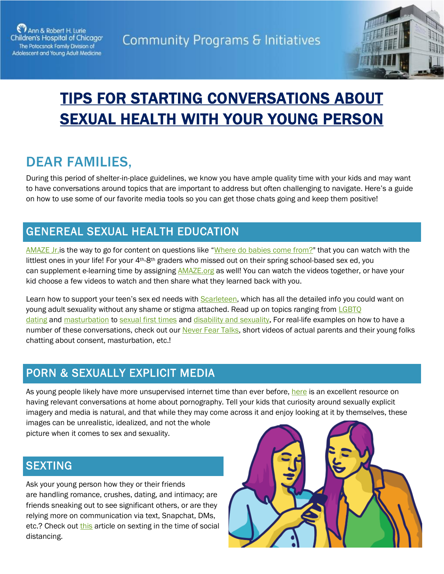



# TIPS FOR STARTING CONVERSATIONS ABOUT SEXUAL HEALTH WITH YOUR YOUNG PERSON

## DEAR FAMILIES,

During this period of shelter-in-place guidelines, we know you have ample quality time with your kids and may want to have conversations around topics that are important to address but often challenging to navigate. Here's a guide on how to use some of our favorite media tools so you can get those chats going and keep them positive!

#### GENEREAL SEXUAL HEALTH EDUCATION

AMAZE Jr. is the way to go for content on questions like "[Where do babies come from?"](http://www.youtube.com/watch?time_continue=83&v=A1dfkziW-Oo&feature=emb_title) that you can watch with the littlest ones in your life! For your 4th-8th graders who missed out on their spring school-based sex ed, you can supplement e-learning time by assigning **[AMAZE.org](https://amaze.org/)** as well! You can watch the videos together, or have your kid choose a few videos to watch and then share what they learned back with you.

Learn how to support your teen's sex ed needs with [Scarleteen,](https://www.scarleteen.com/) which has all the detailed info you could want on young adult sexuality without any shame or stigma attached. Read up on topics ranging from LGBTO [dating](https://www.scarleteen.com/resource/queer_kid_stuff_youtube_series) and [masturbation](https://www.scarleteen.com/article/disability_quickies/quickies_masturbation) to sexual [first times](https://www.scarleteen.com/article/relationships/ready_or_not_the_scarleteen_sex_readiness_checklist) and [disability and sexuality.](https://www.scarleteen.com/consent_is_sexy_sexual_autonomy_and_disability) For real-life examples on how to have a number of these conversations, check out our [Never Fear Talks,](https://www.luriechildrens.org/en/specialties-conditions/sexuality-education-program/never-fear-talks/%22%EF%BF%BDHYPERLINK%20%22https:/www.luriechildrens.org/NeverFearTalks) short videos of actual parents and their young folks chatting about consent, masturbation, etc.!

#### PORN & SEXUALLY EXPLICIT MEDIA

As young people likely have more unsupervised internet time than ever before, [here](https://amaze.org/parents/guides/porn/) is an excellent resource on having relevant conversations at home about pornography. Tell your kids that curiosity around sexually explicit imagery and media is natural, and that while they may come across it and enjoy looking at it by themselves, these images can be unrealistic, idealized, and not the whole

picture when it comes to sex and sexuality.

#### **SEXTING**

Ask your young person how they or their friends are handling romance, crushes, dating, and intimacy; are friends sneaking out to see significant others, or are they relying more on communication via text, Snapchat, DMs, etc.? Check out [this](https://www.nytimes.com/2020/04/28/well/family/coronavirus-shutdown-teen-sexting-consent.html?fbclid=IwAR17ifLgMKsx_LnWbGjeeKCZAfDk6eNV2yT0PZfGcNg86uZCDXshx57nZi4) article on sexting in the time of social distancing.